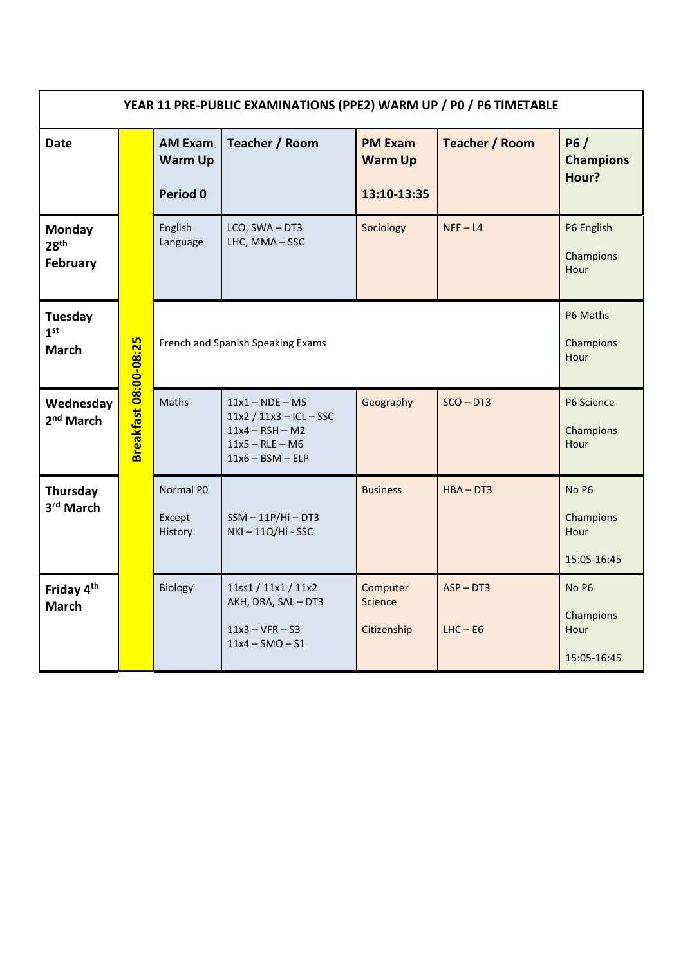| YEAR 11 PRE-PUBLIC EXAMINATIONS (PPE2) WARM UP / P0 / P6 TIMETABLE |                              |                                              |                                                                                                                |                                                 |                           |                                           |
|--------------------------------------------------------------------|------------------------------|----------------------------------------------|----------------------------------------------------------------------------------------------------------------|-------------------------------------------------|---------------------------|-------------------------------------------|
| <b>Date</b>                                                        |                              | <b>AM Exam</b><br><b>Warm Up</b><br>Period 0 | Teacher / Room                                                                                                 | <b>PM Exam</b><br><b>Warm Up</b><br>13:10-13:35 | <b>Teacher / Room</b>     | P6/<br><b>Champions</b><br>Hour?          |
| <b>Monday</b><br>28 <sup>th</sup><br><b>February</b>               | <b>Breakfast 08:00-08:25</b> | English<br>Language                          | LCO, SWA-DT3<br>LHC, MMA-SSC                                                                                   | Sociology                                       | $NFE - L4$                | P6 English<br>Champions<br>Hour           |
| <b>Tuesday</b><br>1 <sup>st</sup><br><b>March</b>                  |                              | French and Spanish Speaking Exams            | P6 Maths<br>Champions<br>Hour                                                                                  |                                                 |                           |                                           |
| Wednesday<br>2 <sup>nd</sup> March                                 |                              | Maths                                        | $11x1 - NDE - M5$<br>$11x2 / 11x3 - ICL - SSC$<br>$11x4 - RSH - M2$<br>$11x5 - RLE - M6$<br>$11x6 - BSM - ELP$ | Geography                                       | $SCO - D T3$              | P6 Science<br>Champions<br>Hour           |
| Thursday<br>3rd March                                              |                              | Normal P0<br>Except<br>History               | $SSM - 11P/Hi - DT3$<br>NKI-11Q/Hi-SSC                                                                         | <b>Business</b>                                 | $HBA - DT3$               | No P6<br>Champions<br>Hour<br>15:05-16:45 |
| Friday 4th<br><b>March</b>                                         |                              | Biology                                      | 11ss1 / 11x1 / 11x2<br>AKH, DRA, SAL - DT3<br>$11x3 - VFR - S3$<br>$11x4 - SMO - S1$                           | Computer<br>Science<br>Citizenship              | $ASP - DT3$<br>$LHC - E6$ | No P6<br>Champions<br>Hour<br>15:05-16:45 |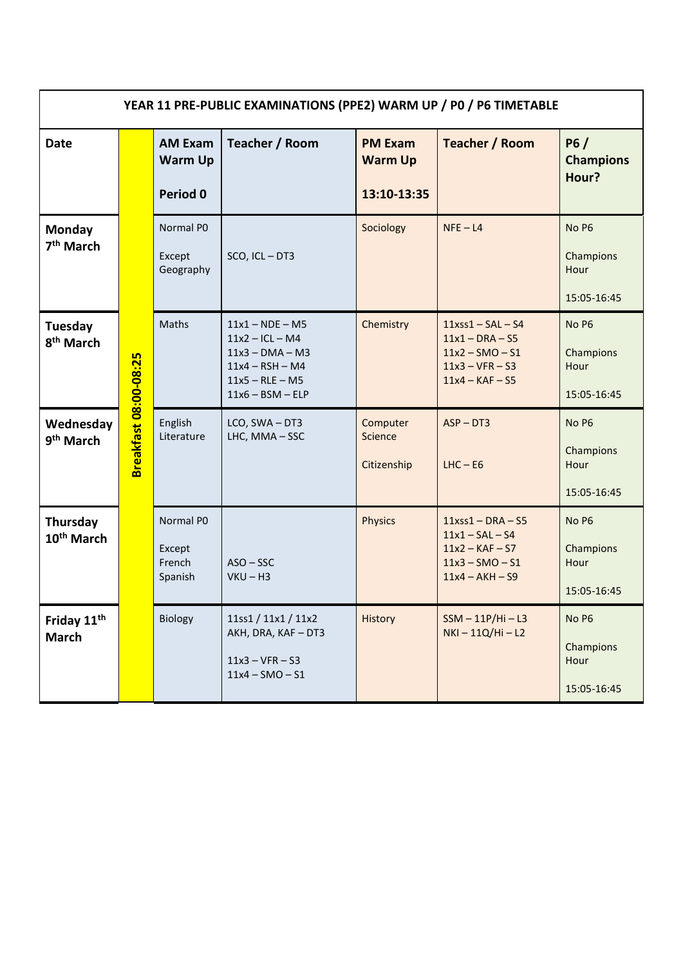| YEAR 11 PRE-PUBLIC EXAMINATIONS (PPE2) WARM UP / P0 / P6 TIMETABLE |                       |                                              |                                                                                                                             |                                                 |                                                                                                         |                                           |
|--------------------------------------------------------------------|-----------------------|----------------------------------------------|-----------------------------------------------------------------------------------------------------------------------------|-------------------------------------------------|---------------------------------------------------------------------------------------------------------|-------------------------------------------|
| <b>Date</b>                                                        |                       | <b>AM Exam</b><br><b>Warm Up</b><br>Period 0 | Teacher / Room                                                                                                              | <b>PM Exam</b><br><b>Warm Up</b><br>13:10-13:35 | <b>Teacher / Room</b>                                                                                   | P6/<br><b>Champions</b><br>Hour?          |
| Monday<br>7 <sup>th</sup> March                                    | Breakfast 08:00-08:25 | Normal P0<br>Except<br>Geography             | SCO, ICL-DT3                                                                                                                | Sociology                                       | $NFE - L4$                                                                                              | No P6<br>Champions<br>Hour<br>15:05-16:45 |
| Tuesday<br>8 <sup>th</sup> March                                   |                       | Maths                                        | $11x1 - NDE - M5$<br>$11x2 - ICL - M4$<br>$11x3 - DMA - M3$<br>$11x4 - RSH - M4$<br>$11x5 - RLE - M5$<br>$11x6 - BSM - ELP$ | Chemistry                                       | $11xss1 - SAL - SA$<br>$11x1 - DRA - S5$<br>$11x2 - SMO - S1$<br>$11x3 - VFR - S3$<br>$11x4 - KAF - S5$ | No P6<br>Champions<br>Hour<br>15:05-16:45 |
| Wednesday<br>9 <sup>th</sup> March                                 |                       | English<br>Literature                        | LCO, SWA-DT3<br>LHC, MMA-SSC                                                                                                | Computer<br>Science<br>Citizenship              | $ASP - DT3$<br>$LHC - E6$                                                                               | No P6<br>Champions<br>Hour<br>15:05-16:45 |
| Thursday<br>10 <sup>th</sup> March                                 |                       | Normal P0<br>Except<br>French<br>Spanish     | $ASO - SSC$<br>$VKU - H3$                                                                                                   | <b>Physics</b>                                  | $11xss1 - DRA - S5$<br>$11x1 - SAL - SA$<br>$11x2 - KAF - S7$<br>$11x3 - SMO - S1$<br>$11x4 - AKH - S9$ | No P6<br>Champions<br>Hour<br>15:05-16:45 |
| Friday 11 <sup>th</sup><br><b>March</b>                            |                       | Biology                                      | 11ss1 / 11x1 / 11x2<br>AKH, DRA, KAF-DT3<br>$11x3 - VFR - S3$<br>$11x4 - SMO - S1$                                          | History                                         | $SSM - 11P/Hi - L3$<br>NKI-11Q/Hi-L2                                                                    | No P6<br>Champions<br>Hour<br>15:05-16:45 |